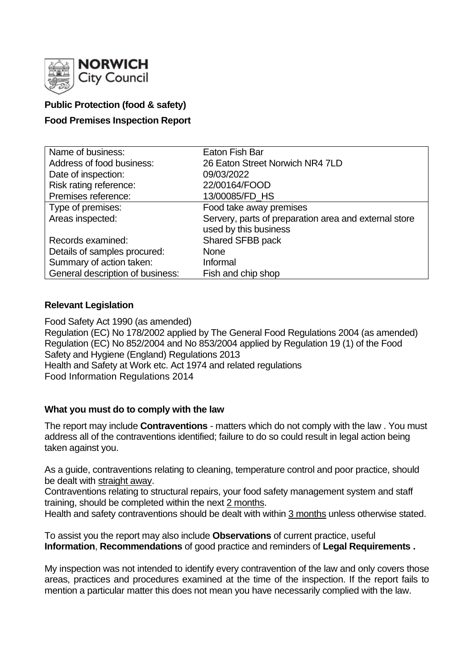

# **Public Protection (food & safety)**

## **Food Premises Inspection Report**

| Name of business:                | Eaton Fish Bar                                        |
|----------------------------------|-------------------------------------------------------|
| Address of food business:        | 26 Eaton Street Norwich NR4 7LD                       |
| Date of inspection:              | 09/03/2022                                            |
| Risk rating reference:           | 22/00164/FOOD                                         |
| Premises reference:              | 13/00085/FD_HS                                        |
| Type of premises:                | Food take away premises                               |
| Areas inspected:                 | Servery, parts of preparation area and external store |
|                                  | used by this business                                 |
| Records examined:                | Shared SFBB pack                                      |
| Details of samples procured:     | <b>None</b>                                           |
| Summary of action taken:         | Informal                                              |
| General description of business: | Fish and chip shop                                    |

#### **Relevant Legislation**

Food Safety Act 1990 (as amended) Regulation (EC) No 178/2002 applied by The General Food Regulations 2004 (as amended) Regulation (EC) No 852/2004 and No 853/2004 applied by Regulation 19 (1) of the Food Safety and Hygiene (England) Regulations 2013 Health and Safety at Work etc. Act 1974 and related regulations Food Information Regulations 2014

## **What you must do to comply with the law**

The report may include **Contraventions** - matters which do not comply with the law . You must address all of the contraventions identified; failure to do so could result in legal action being taken against you.

As a guide, contraventions relating to cleaning, temperature control and poor practice, should be dealt with straight away.

Contraventions relating to structural repairs, your food safety management system and staff training, should be completed within the next 2 months.

Health and safety contraventions should be dealt with within 3 months unless otherwise stated.

To assist you the report may also include **Observations** of current practice, useful **Information**, **Recommendations** of good practice and reminders of **Legal Requirements .**

My inspection was not intended to identify every contravention of the law and only covers those areas, practices and procedures examined at the time of the inspection. If the report fails to mention a particular matter this does not mean you have necessarily complied with the law.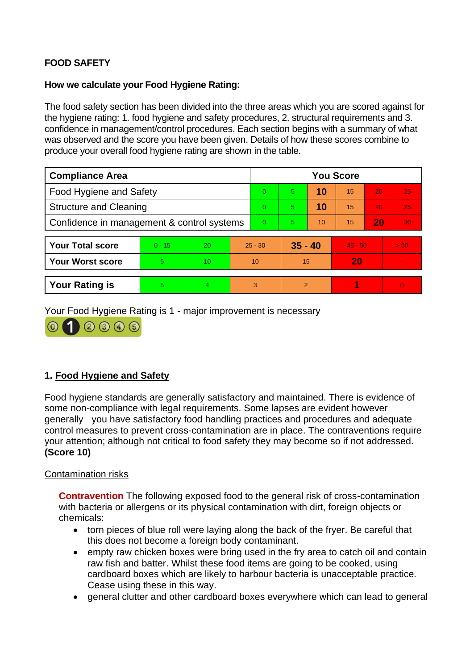# **FOOD SAFETY**

## **How we calculate your Food Hygiene Rating:**

The food safety section has been divided into the three areas which you are scored against for the hygiene rating: 1. food hygiene and safety procedures, 2. structural requirements and 3. confidence in management/control procedures. Each section begins with a summary of what was observed and the score you have been given. Details of how these scores combine to produce your overall food hygiene rating are shown in the table.

| <b>Compliance Area</b>                     |          |    |           | <b>You Score</b> |           |    |           |    |          |
|--------------------------------------------|----------|----|-----------|------------------|-----------|----|-----------|----|----------|
| Food Hygiene and Safety                    |          |    |           | $\Omega$         | 5.        | 10 | 15        | 20 | 25       |
| <b>Structure and Cleaning</b>              |          |    | $\Omega$  | 5.               | 10        | 15 | 20        | 25 |          |
| Confidence in management & control systems |          |    | $\Omega$  | 5.               | 10        | 15 | 20        | 30 |          |
|                                            |          |    |           |                  |           |    |           |    |          |
| <b>Your Total score</b>                    | $0 - 15$ | 20 | $25 - 30$ |                  | $35 - 40$ |    | $45 - 50$ |    | > 50     |
| <b>Your Worst score</b>                    | 5        | 10 | 10        |                  | 15        |    | 20        |    |          |
|                                            |          |    |           |                  |           |    |           |    |          |
| <b>Your Rating is</b>                      | 5        | 4  |           | 3                | 2         |    |           |    | $\Omega$ |

Your Food Hygiene Rating is 1 - major improvement is necessary



# **1. Food Hygiene and Safety**

Food hygiene standards are generally satisfactory and maintained. There is evidence of some non-compliance with legal requirements. Some lapses are evident however generally you have satisfactory food handling practices and procedures and adequate control measures to prevent cross-contamination are in place. The contraventions require your attention; although not critical to food safety they may become so if not addressed. **(Score 10)**

# Contamination risks

**Contravention** The following exposed food to the general risk of cross-contamination with bacteria or allergens or its physical contamination with dirt, foreign objects or chemicals:

- torn pieces of blue roll were laying along the back of the fryer. Be careful that this does not become a foreign body contaminant.
- empty raw chicken boxes were bring used in the fry area to catch oil and contain raw fish and batter. Whilst these food items are going to be cooked, using cardboard boxes which are likely to harbour bacteria is unacceptable practice. Cease using these in this way.
- general clutter and other cardboard boxes everywhere which can lead to general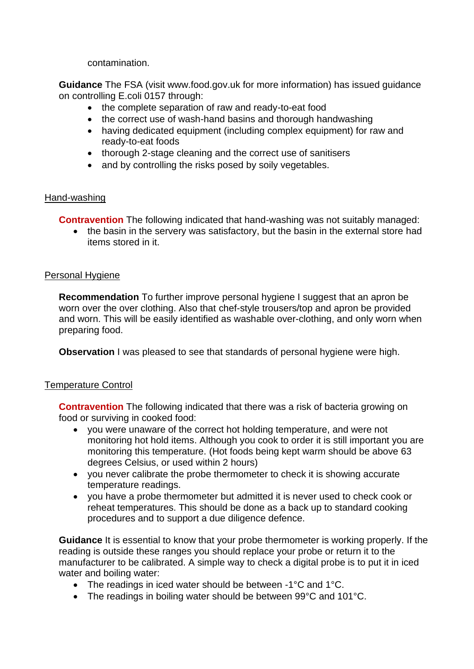contamination.

**Guidance** The FSA (visit www.food.gov.uk for more information) has issued guidance on controlling E.coli 0157 through:

- the complete separation of raw and ready-to-eat food
- the correct use of wash-hand basins and thorough handwashing
- having dedicated equipment (including complex equipment) for raw and ready-to-eat foods
- thorough 2-stage cleaning and the correct use of sanitisers
- and by controlling the risks posed by soily vegetables.

## Hand-washing

**Contravention** The following indicated that hand-washing was not suitably managed:

• the basin in the servery was satisfactory, but the basin in the external store had items stored in it.

## Personal Hygiene

**Recommendation** To further improve personal hygiene I suggest that an apron be worn over the over clothing. Also that chef-style trousers/top and apron be provided and worn. This will be easily identified as washable over-clothing, and only worn when preparing food.

**Observation** I was pleased to see that standards of personal hygiene were high.

## Temperature Control

**Contravention** The following indicated that there was a risk of bacteria growing on food or surviving in cooked food:

- you were unaware of the correct hot holding temperature, and were not monitoring hot hold items. Although you cook to order it is still important you are monitoring this temperature. (Hot foods being kept warm should be above 63 degrees Celsius, or used within 2 hours)
- you never calibrate the probe thermometer to check it is showing accurate temperature readings.
- you have a probe thermometer but admitted it is never used to check cook or reheat temperatures. This should be done as a back up to standard cooking procedures and to support a due diligence defence.

**Guidance** It is essential to know that your probe thermometer is working properly. If the reading is outside these ranges you should replace your probe or return it to the manufacturer to be calibrated. A simple way to check a digital probe is to put it in iced water and boiling water:

- The readings in iced water should be between -1°C and 1°C.
- The readings in boiling water should be between 99°C and 101°C.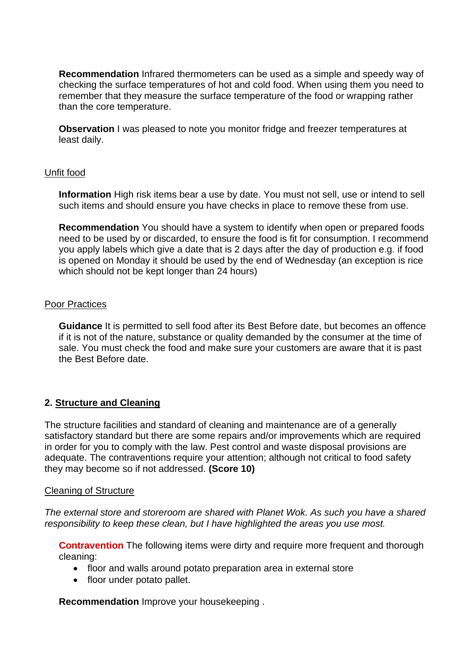**Recommendation** Infrared thermometers can be used as a simple and speedy way of checking the surface temperatures of hot and cold food. When using them you need to remember that they measure the surface temperature of the food or wrapping rather than the core temperature.

**Observation** I was pleased to note you monitor fridge and freezer temperatures at least daily.

#### Unfit food

**Information** High risk items bear a use by date. You must not sell, use or intend to sell such items and should ensure you have checks in place to remove these from use.

**Recommendation** You should have a system to identify when open or prepared foods need to be used by or discarded, to ensure the food is fit for consumption. I recommend you apply labels which give a date that is 2 days after the day of production e.g. if food is opened on Monday it should be used by the end of Wednesday (an exception is rice which should not be kept longer than 24 hours)

#### Poor Practices

**Guidance** It is permitted to sell food after its Best Before date, but becomes an offence if it is not of the nature, substance or quality demanded by the consumer at the time of sale. You must check the food and make sure your customers are aware that it is past the Best Before date.

## **2. Structure and Cleaning**

The structure facilities and standard of cleaning and maintenance are of a generally satisfactory standard but there are some repairs and/or improvements which are required in order for you to comply with the law. Pest control and waste disposal provisions are adequate. The contraventions require your attention; although not critical to food safety they may become so if not addressed. **(Score 10)**

#### Cleaning of Structure

*The external store and storeroom are shared with Planet Wok. As such you have a shared responsibility to keep these clean, but I have highlighted the areas you use most.*

**Contravention** The following items were dirty and require more frequent and thorough cleaning:

- floor and walls around potato preparation area in external store
- floor under potato pallet.

**Recommendation** Improve your housekeeping .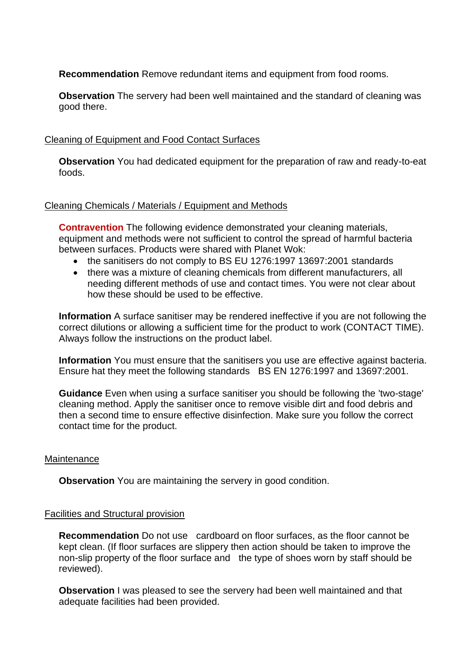**Recommendation** Remove redundant items and equipment from food rooms.

**Observation** The servery had been well maintained and the standard of cleaning was good there.

## Cleaning of Equipment and Food Contact Surfaces

**Observation** You had dedicated equipment for the preparation of raw and ready-to-eat foods.

#### Cleaning Chemicals / Materials / Equipment and Methods

**Contravention** The following evidence demonstrated your cleaning materials, equipment and methods were not sufficient to control the spread of harmful bacteria between surfaces. Products were shared with Planet Wok:

- the sanitisers do not comply to BS EU 1276:1997 13697:2001 standards
- there was a mixture of cleaning chemicals from different manufacturers, all needing different methods of use and contact times. You were not clear about how these should be used to be effective.

**Information** A surface sanitiser may be rendered ineffective if you are not following the correct dilutions or allowing a sufficient time for the product to work (CONTACT TIME). Always follow the instructions on the product label.

**Information** You must ensure that the sanitisers you use are effective against bacteria. Ensure hat they meet the following standards BS EN 1276:1997 and 13697:2001.

**Guidance** Even when using a surface sanitiser you should be following the 'two-stage' cleaning method. Apply the sanitiser once to remove visible dirt and food debris and then a second time to ensure effective disinfection. Make sure you follow the correct contact time for the product.

#### **Maintenance**

**Observation** You are maintaining the servery in good condition.

#### Facilities and Structural provision

**Recommendation** Do not use cardboard on floor surfaces, as the floor cannot be kept clean. (If floor surfaces are slippery then action should be taken to improve the non-slip property of the floor surface and the type of shoes worn by staff should be reviewed).

**Observation** I was pleased to see the servery had been well maintained and that adequate facilities had been provided.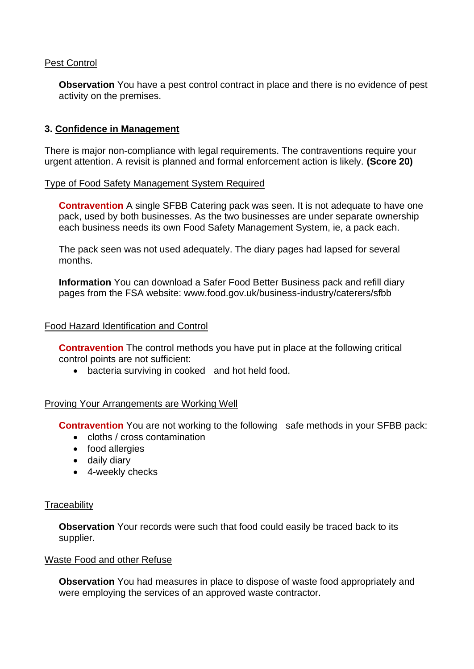## Pest Control

**Observation** You have a pest control contract in place and there is no evidence of pest activity on the premises.

# **3. Confidence in Management**

There is major non-compliance with legal requirements. The contraventions require your urgent attention. A revisit is planned and formal enforcement action is likely. **(Score 20)**

## Type of Food Safety Management System Required

**Contravention** A single SFBB Catering pack was seen. It is not adequate to have one pack, used by both businesses. As the two businesses are under separate ownership each business needs its own Food Safety Management System, ie, a pack each.

The pack seen was not used adequately. The diary pages had lapsed for several months.

**Information** You can download a Safer Food Better Business pack and refill diary pages from the FSA website: www.food.gov.uk/business-industry/caterers/sfbb

#### Food Hazard Identification and Control

**Contravention** The control methods you have put in place at the following critical control points are not sufficient:

• bacteria surviving in cooked and hot held food.

## Proving Your Arrangements are Working Well

**Contravention** You are not working to the following safe methods in your SFBB pack:

- cloths / cross contamination
- food allergies
- daily diary
- 4-weekly checks

#### **Traceability**

**Observation** Your records were such that food could easily be traced back to its supplier.

#### Waste Food and other Refuse

**Observation** You had measures in place to dispose of waste food appropriately and were employing the services of an approved waste contractor.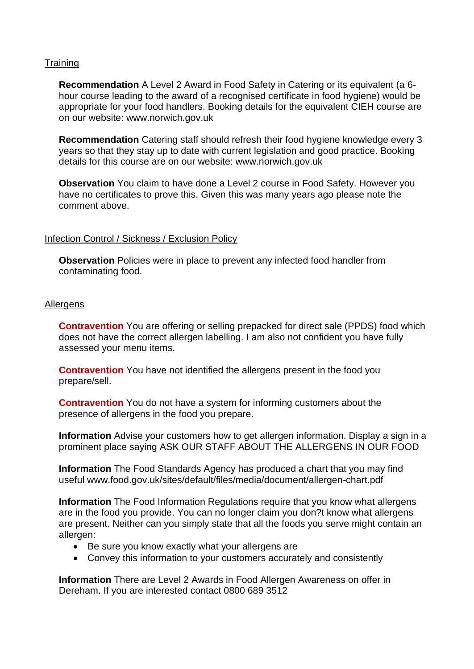## **Training**

**Recommendation** A Level 2 Award in Food Safety in Catering or its equivalent (a 6 hour course leading to the award of a recognised certificate in food hygiene) would be appropriate for your food handlers. Booking details for the equivalent CIEH course are on our website: www.norwich.gov.uk

**Recommendation** Catering staff should refresh their food hygiene knowledge every 3 years so that they stay up to date with current legislation and good practice. Booking details for this course are on our website: www.norwich.gov.uk

**Observation** You claim to have done a Level 2 course in Food Safety. However you have no certificates to prove this. Given this was many years ago please note the comment above.

## Infection Control / Sickness / Exclusion Policy

**Observation** Policies were in place to prevent any infected food handler from contaminating food.

#### Allergens

**Contravention** You are offering or selling prepacked for direct sale (PPDS) food which does not have the correct allergen labelling. I am also not confident you have fully assessed your menu items.

**Contravention** You have not identified the allergens present in the food you prepare/sell.

**Contravention** You do not have a system for informing customers about the presence of allergens in the food you prepare.

**Information** Advise your customers how to get allergen information. Display a sign in a prominent place saying ASK OUR STAFF ABOUT THE ALLERGENS IN OUR FOOD

**Information** The Food Standards Agency has produced a chart that you may find useful www.food.gov.uk/sites/default/files/media/document/allergen-chart.pdf

**Information** The Food Information Regulations require that you know what allergens are in the food you provide. You can no longer claim you don?t know what allergens are present. Neither can you simply state that all the foods you serve might contain an allergen:

- Be sure you know exactly what your allergens are
- Convey this information to your customers accurately and consistently

**Information** There are Level 2 Awards in Food Allergen Awareness on offer in Dereham. If you are interested contact 0800 689 3512